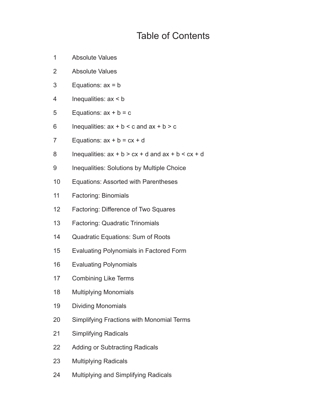## Table of Contents

- 1 Absolute Values
- 2 Absolute Values
- 3 Equations: ax = b
- 4 Inequalities: ax < b
- 5 Equations:  $ax + b = c$
- 6 Inequalities:  $ax + b < c$  and  $ax + b > c$
- 7 Equations:  $ax + b = cx + d$
- 8 Inequalities:  $ax + b > cx + d$  and  $ax + b < cx + d$
- 9 Inequalities: Solutions by Multiple Choice
- 10 Equations: Assorted with Parentheses
- 11 Factoring: Binomials
- 12 Factoring: Difference of Two Squares
- 13 Factoring: Quadratic Trinomials
- 14 Quadratic Equations: Sum of Roots
- 15 Evaluating Polynomials in Factored Form
- 16 Evaluating Polynomials
- 17 Combining Like Terms
- 18 Multiplying Monomials
- 19 Dividing Monomials
- 20 Simplifying Fractions with Monomial Terms
- 21 Simplifying Radicals
- 22 Adding or Subtracting Radicals
- 23 Multiplying Radicals
- 24 Multiplying and Simplifying Radicals